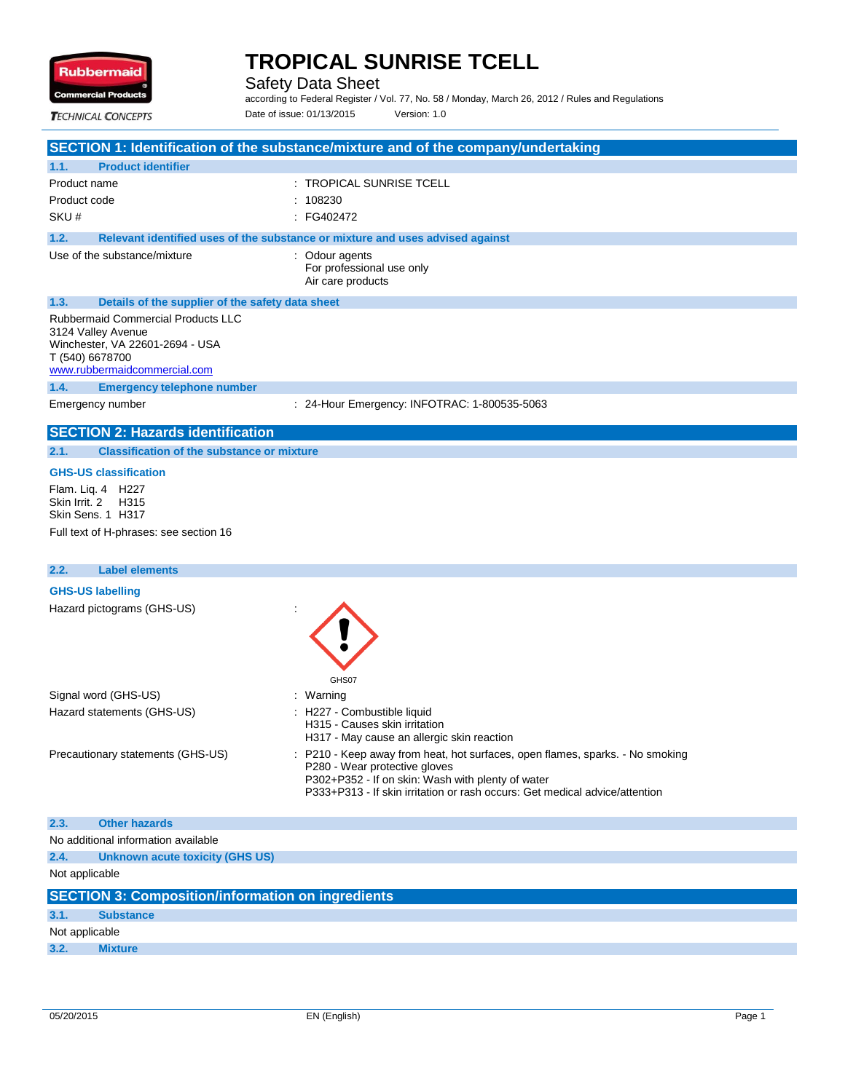

Safety Data Sheet

according to Federal Register / Vol. 77, No. 58 / Monday, March 26, 2012 / Rules and Regulations Date of issue: 01/13/2015 Version: 1.0

**TECHNICAL CONCEPTS** 

| <b>Product identifier</b><br>1.1.                                                                                                                     |                                                                               |
|-------------------------------------------------------------------------------------------------------------------------------------------------------|-------------------------------------------------------------------------------|
| Product name                                                                                                                                          | $\pm$ TROPICAL SUNRISE TCELL                                                  |
| Product code                                                                                                                                          | : 108230                                                                      |
| SKU#                                                                                                                                                  | $\therefore$ FG402472                                                         |
| 1.2.                                                                                                                                                  | Relevant identified uses of the substance or mixture and uses advised against |
| Use of the substance/mixture                                                                                                                          | : Odour agents<br>For professional use only<br>Air care products              |
| 1.3.                                                                                                                                                  | Details of the supplier of the safety data sheet                              |
| <b>Rubbermaid Commercial Products LLC</b><br>3124 Valley Avenue<br>Winchester, VA 22601-2694 - USA<br>T (540) 6678700<br>www.rubbermaidcommercial.com |                                                                               |
| <b>Emergency telephone number</b><br>1.4.                                                                                                             |                                                                               |
| Emergency number                                                                                                                                      | : 24-Hour Emergency: INFOTRAC: 1-800535-5063                                  |

#### **GHS-US classification**

Flam. Liq. 4 H227 Skin Irrit. 2 H315 Skin Sens. 1 H317 Full text of H-phrases: see section 16

| 2.2.                              | <b>Label elements</b>                                 |                                                                                                                                                                                                                                                    |
|-----------------------------------|-------------------------------------------------------|----------------------------------------------------------------------------------------------------------------------------------------------------------------------------------------------------------------------------------------------------|
|                                   | <b>GHS-US labelling</b><br>Hazard pictograms (GHS-US) | GHS07                                                                                                                                                                                                                                              |
|                                   | Signal word (GHS-US)                                  | : Warning                                                                                                                                                                                                                                          |
|                                   | Hazard statements (GHS-US)                            | : H227 - Combustible liquid<br>H315 - Causes skin irritation<br>H317 - May cause an allergic skin reaction                                                                                                                                         |
| Precautionary statements (GHS-US) |                                                       | : P210 - Keep away from heat, hot surfaces, open flames, sparks. - No smoking<br>P280 - Wear protective gloves<br>P302+P352 - If on skin: Wash with plenty of water<br>P333+P313 - If skin irritation or rash occurs: Get medical advice/attention |
| 2.3.                              | <b>Other hazards</b>                                  |                                                                                                                                                                                                                                                    |
|                                   | No additional information available                   |                                                                                                                                                                                                                                                    |

| 2.4.           | Unknown acute toxicity (GHS US)                          |  |  |
|----------------|----------------------------------------------------------|--|--|
|                | Not applicable                                           |  |  |
|                | <b>SECTION 3: Composition/information on ingredients</b> |  |  |
| 3.1.           | <b>Substance</b>                                         |  |  |
| Not applicable |                                                          |  |  |
| 3.2.           | <b>Mixture</b>                                           |  |  |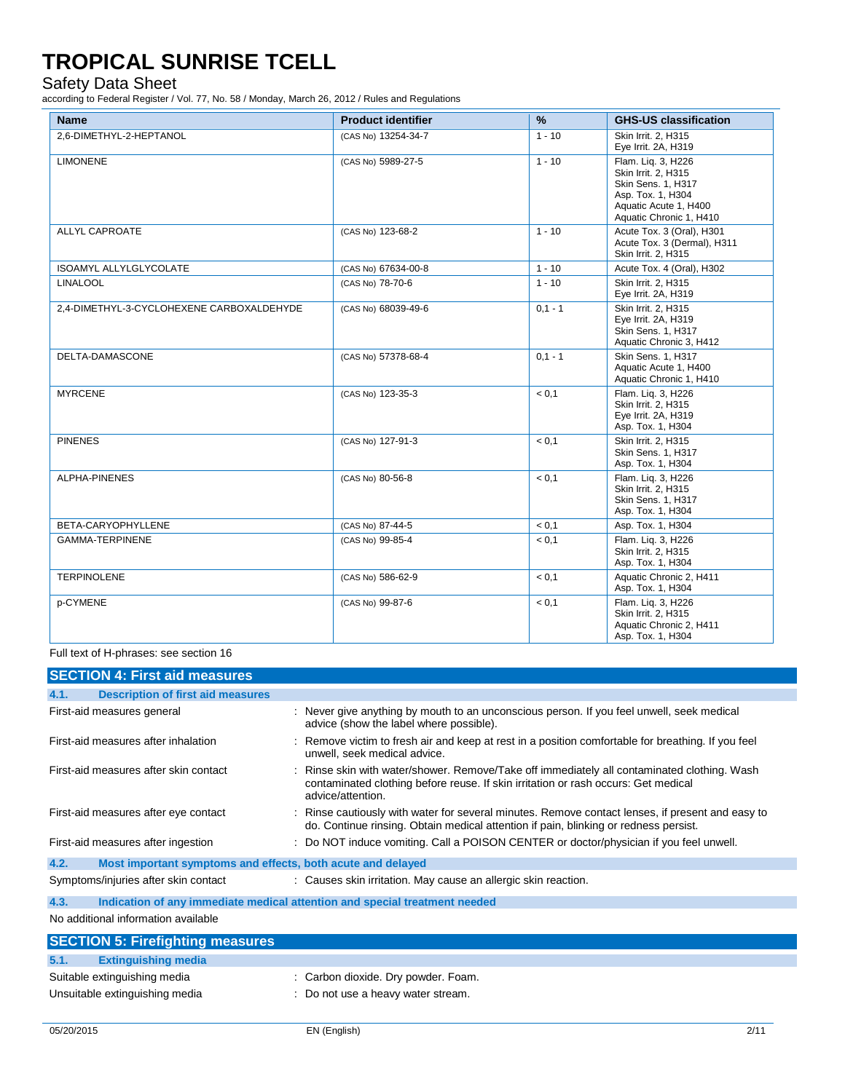### Safety Data Sheet

according to Federal Register / Vol. 77, No. 58 / Monday, March 26, 2012 / Rules and Regulations

| <b>Name</b>                               | <b>Product identifier</b> | %         | <b>GHS-US classification</b>                                                                                                             |
|-------------------------------------------|---------------------------|-----------|------------------------------------------------------------------------------------------------------------------------------------------|
| 2.6-DIMETHYL-2-HEPTANOL                   | (CAS No) 13254-34-7       | $1 - 10$  | Skin Irrit. 2. H315<br>Eye Irrit. 2A, H319                                                                                               |
| <b>LIMONENE</b>                           | (CAS No) 5989-27-5        | $1 - 10$  | Flam. Liq. 3, H226<br>Skin Irrit. 2, H315<br>Skin Sens. 1, H317<br>Asp. Tox. 1, H304<br>Aquatic Acute 1, H400<br>Aquatic Chronic 1, H410 |
| <b>ALLYL CAPROATE</b>                     | (CAS No) 123-68-2         | $1 - 10$  | Acute Tox. 3 (Oral), H301<br>Acute Tox. 3 (Dermal), H311<br>Skin Irrit. 2, H315                                                          |
| <b>ISOAMYL ALLYLGLYCOLATE</b>             | (CAS No) 67634-00-8       | $1 - 10$  | Acute Tox. 4 (Oral), H302                                                                                                                |
| <b>LINALOOL</b>                           | (CAS No) 78-70-6          | $1 - 10$  | Skin Irrit. 2. H315<br>Eye Irrit. 2A, H319                                                                                               |
| 2.4-DIMETHYL-3-CYCLOHEXENE CARBOXALDEHYDE | (CAS No) 68039-49-6       | $0,1 - 1$ | Skin Irrit. 2, H315<br>Eye Irrit. 2A, H319<br><b>Skin Sens. 1. H317</b><br>Aquatic Chronic 3, H412                                       |
| DELTA-DAMASCONE                           | (CAS No) 57378-68-4       | $0,1 - 1$ | Skin Sens. 1. H317<br>Aquatic Acute 1, H400<br>Aquatic Chronic 1, H410                                                                   |
| <b>MYRCENE</b>                            | (CAS No) 123-35-3         | < 0.1     | Flam. Liq. 3, H226<br>Skin Irrit. 2, H315<br>Eye Irrit. 2A, H319<br>Asp. Tox. 1, H304                                                    |
| <b>PINENES</b>                            | (CAS No) 127-91-3         | < 0.1     | Skin Irrit. 2. H315<br>Skin Sens. 1, H317<br>Asp. Tox. 1, H304                                                                           |
| <b>ALPHA-PINENES</b>                      | (CAS No) 80-56-8          | < 0.1     | Flam. Lig. 3, H226<br>Skin Irrit. 2, H315<br>Skin Sens. 1, H317<br>Asp. Tox. 1, H304                                                     |
| BETA-CARYOPHYLLENE                        | (CAS No) 87-44-5          | < 0.1     | Asp. Tox. 1, H304                                                                                                                        |
| <b>GAMMA-TERPINENE</b>                    | (CAS No) 99-85-4          | < 0.1     | Flam. Liq. 3, H226<br>Skin Irrit. 2, H315<br>Asp. Tox. 1, H304                                                                           |
| <b>TERPINOLENE</b>                        | (CAS No) 586-62-9         | < 0.1     | Aquatic Chronic 2. H411<br>Asp. Tox. 1, H304                                                                                             |
| p-CYMENE                                  | (CAS No) 99-87-6          | < 0.1     | Flam. Liq. 3, H226<br>Skin Irrit. 2, H315<br>Aquatic Chronic 2, H411<br>Asp. Tox. 1, H304                                                |

Full text of H-phrases: see section 16

| <b>SECTION 4: First aid measures</b>                                                                   |                                                                                                                                                                                                        |  |  |
|--------------------------------------------------------------------------------------------------------|--------------------------------------------------------------------------------------------------------------------------------------------------------------------------------------------------------|--|--|
| <b>Description of first aid measures</b><br>4.1.                                                       |                                                                                                                                                                                                        |  |  |
| First-aid measures general                                                                             | : Never give anything by mouth to an unconscious person. If you feel unwell, seek medical<br>advice (show the label where possible).                                                                   |  |  |
| First-aid measures after inhalation                                                                    | : Remove victim to fresh air and keep at rest in a position comfortable for breathing. If you feel<br>unwell, seek medical advice.                                                                     |  |  |
| First-aid measures after skin contact                                                                  | : Rinse skin with water/shower. Remove/Take off immediately all contaminated clothing. Wash<br>contaminated clothing before reuse. If skin irritation or rash occurs: Get medical<br>advice/attention. |  |  |
| First-aid measures after eye contact                                                                   | : Rinse cautiously with water for several minutes. Remove contact lenses, if present and easy to<br>do. Continue rinsing. Obtain medical attention if pain, blinking or redness persist.               |  |  |
| First-aid measures after ingestion                                                                     | : Do NOT induce vomiting. Call a POISON CENTER or doctor/physician if you feel unwell.                                                                                                                 |  |  |
| 4.2.<br>Most important symptoms and effects, both acute and delayed                                    |                                                                                                                                                                                                        |  |  |
| : Causes skin irritation. May cause an allergic skin reaction.<br>Symptoms/injuries after skin contact |                                                                                                                                                                                                        |  |  |
| 4.3.<br>Indication of any immediate medical attention and special treatment needed                     |                                                                                                                                                                                                        |  |  |
| No additional information available                                                                    |                                                                                                                                                                                                        |  |  |
| <b>SECTION 5: Firefighting measures</b>                                                                |                                                                                                                                                                                                        |  |  |
| <b>Extinguishing media</b><br>5.1.                                                                     |                                                                                                                                                                                                        |  |  |
| Suitable extinguishing media                                                                           | : Carbon dioxide. Dry powder. Foam.                                                                                                                                                                    |  |  |
|                                                                                                        |                                                                                                                                                                                                        |  |  |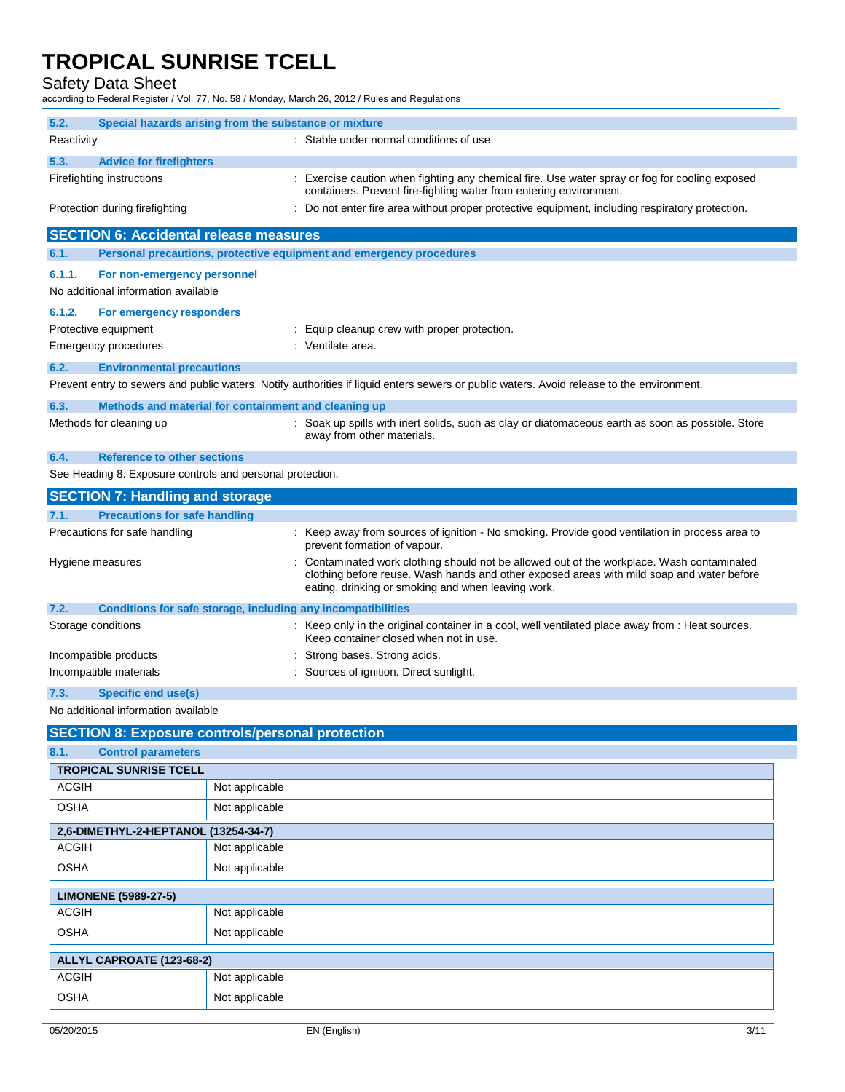Safety Data Sheet

according to Federal Register / Vol. 77, No. 58 / Monday, March 26, 2012 / Rules and Regulations

| 5.2.       | Special hazards arising from the substance or mixture              |                                                                                                                                                                                                                                             |
|------------|--------------------------------------------------------------------|---------------------------------------------------------------------------------------------------------------------------------------------------------------------------------------------------------------------------------------------|
| Reactivity |                                                                    | : Stable under normal conditions of use.                                                                                                                                                                                                    |
| 5.3.       | <b>Advice for firefighters</b>                                     |                                                                                                                                                                                                                                             |
|            | Firefighting instructions                                          | : Exercise caution when fighting any chemical fire. Use water spray or fog for cooling exposed<br>containers. Prevent fire-fighting water from entering environment.                                                                        |
|            | Protection during firefighting                                     | Do not enter fire area without proper protective equipment, including respiratory protection.                                                                                                                                               |
|            | <b>SECTION 6: Accidental release measures</b>                      |                                                                                                                                                                                                                                             |
| 6.1.       |                                                                    | Personal precautions, protective equipment and emergency procedures                                                                                                                                                                         |
| 6.1.1.     | For non-emergency personnel<br>No additional information available |                                                                                                                                                                                                                                             |
| 6.1.2.     | For emergency responders                                           |                                                                                                                                                                                                                                             |
|            | Protective equipment                                               | : Equip cleanup crew with proper protection.                                                                                                                                                                                                |
|            | <b>Emergency procedures</b>                                        | : Ventilate area.                                                                                                                                                                                                                           |
| 6.2.       | <b>Environmental precautions</b>                                   |                                                                                                                                                                                                                                             |
|            |                                                                    | Prevent entry to sewers and public waters. Notify authorities if liquid enters sewers or public waters. Avoid release to the environment.                                                                                                   |
| 6.3.       | Methods and material for containment and cleaning up               |                                                                                                                                                                                                                                             |
|            | Methods for cleaning up                                            | : Soak up spills with inert solids, such as clay or diatomaceous earth as soon as possible. Store<br>away from other materials.                                                                                                             |
| 6.4.       | <b>Reference to other sections</b>                                 |                                                                                                                                                                                                                                             |
|            | See Heading 8. Exposure controls and personal protection.          |                                                                                                                                                                                                                                             |
|            | <b>SECTION 7: Handling and storage</b>                             |                                                                                                                                                                                                                                             |
| 7.1.       | <b>Precautions for safe handling</b>                               |                                                                                                                                                                                                                                             |
|            | Precautions for safe handling                                      | : Keep away from sources of ignition - No smoking. Provide good ventilation in process area to<br>prevent formation of vapour.                                                                                                              |
|            | Hygiene measures                                                   | Contaminated work clothing should not be allowed out of the workplace. Wash contaminated<br>clothing before reuse. Wash hands and other exposed areas with mild soap and water before<br>eating, drinking or smoking and when leaving work. |
| 7.2.       | Conditions for safe storage, including any incompatibilities       |                                                                                                                                                                                                                                             |
|            | Storage conditions                                                 | : Keep only in the original container in a cool, well ventilated place away from : Heat sources.<br>Keep container closed when not in use.                                                                                                  |
|            | Incompatible products                                              | : Strong bases. Strong acids.                                                                                                                                                                                                               |
|            | Incompatible materials                                             | : Sources of ignition. Direct sunlight.                                                                                                                                                                                                     |
| 7.3.       | Specific end use(s)                                                |                                                                                                                                                                                                                                             |
|            | No additional information available                                |                                                                                                                                                                                                                                             |

### **SECTION 8: Exposure controls/personal protection**

| 8.1.<br><b>Control parameters</b>    |                |  |
|--------------------------------------|----------------|--|
| <b>TROPICAL SUNRISE TCELL</b>        |                |  |
| <b>ACGIH</b>                         | Not applicable |  |
| <b>OSHA</b>                          | Not applicable |  |
| 2,6-DIMETHYL-2-HEPTANOL (13254-34-7) |                |  |
| <b>ACGIH</b>                         | Not applicable |  |
| <b>OSHA</b>                          | Not applicable |  |
| <b>LIMONENE (5989-27-5)</b>          |                |  |
| <b>ACGIH</b>                         | Not applicable |  |
| <b>OSHA</b>                          | Not applicable |  |
| ALLYL CAPROATE (123-68-2)            |                |  |
| <b>ACGIH</b>                         | Not applicable |  |
| <b>OSHA</b>                          | Not applicable |  |
|                                      |                |  |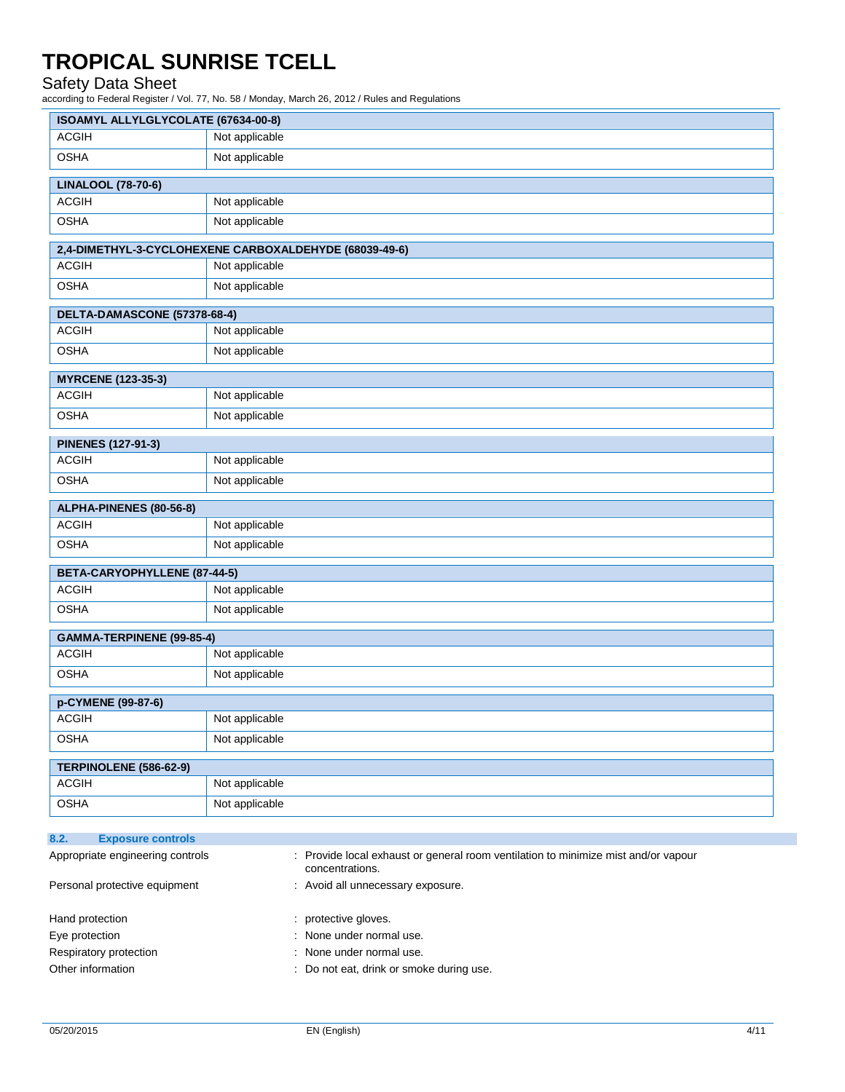### Safety Data Sheet

| ISOAMYL ALLYLGLYCOLATE (67634-00-8) |                                                                                                     |
|-------------------------------------|-----------------------------------------------------------------------------------------------------|
| <b>ACGIH</b>                        | Not applicable                                                                                      |
| <b>OSHA</b>                         | Not applicable                                                                                      |
| <b>LINALOOL (78-70-6)</b>           |                                                                                                     |
| <b>ACGIH</b>                        | Not applicable                                                                                      |
| <b>OSHA</b>                         | Not applicable                                                                                      |
|                                     | 2,4-DIMETHYL-3-CYCLOHEXENE CARBOXALDEHYDE (68039-49-6)                                              |
| <b>ACGIH</b>                        | Not applicable                                                                                      |
| <b>OSHA</b>                         | Not applicable                                                                                      |
| DELTA-DAMASCONE (57378-68-4)        |                                                                                                     |
| <b>ACGIH</b>                        | Not applicable                                                                                      |
| <b>OSHA</b>                         | Not applicable                                                                                      |
| <b>MYRCENE (123-35-3)</b>           |                                                                                                     |
| <b>ACGIH</b>                        | Not applicable                                                                                      |
| <b>OSHA</b>                         | Not applicable                                                                                      |
| <b>PINENES (127-91-3)</b>           |                                                                                                     |
| <b>ACGIH</b>                        | Not applicable                                                                                      |
| <b>OSHA</b>                         | Not applicable                                                                                      |
| ALPHA-PINENES (80-56-8)             |                                                                                                     |
| <b>ACGIH</b>                        | Not applicable                                                                                      |
| <b>OSHA</b>                         | Not applicable                                                                                      |
| BETA-CARYOPHYLLENE (87-44-5)        |                                                                                                     |
| <b>ACGIH</b>                        | Not applicable                                                                                      |
| <b>OSHA</b>                         | Not applicable                                                                                      |
| GAMMA-TERPINENE (99-85-4)           |                                                                                                     |
| <b>ACGIH</b>                        | Not applicable                                                                                      |
| <b>OSHA</b>                         | Not applicable                                                                                      |
| p-CYMENE (99-87-6)                  |                                                                                                     |
| <b>ACGIH</b>                        | Not applicable                                                                                      |
| <b>OSHA</b>                         | Not applicable                                                                                      |
| TERPINOLENE (586-62-9)              |                                                                                                     |
| <b>ACGIH</b>                        | Not applicable                                                                                      |
| <b>OSHA</b>                         | Not applicable                                                                                      |
| 8.2.<br><b>Exposure controls</b>    |                                                                                                     |
| Appropriate engineering controls    | Provide local exhaust or general room ventilation to minimize mist and/or vapour<br>concentrations. |
| Personal protective equipment       | Avoid all unnecessary exposure.                                                                     |

- Respiratory protection  $\blacksquare$  : None under normal use.
- Other information  $\qquad \qquad : \quad$  Do not eat, drink or smoke during use.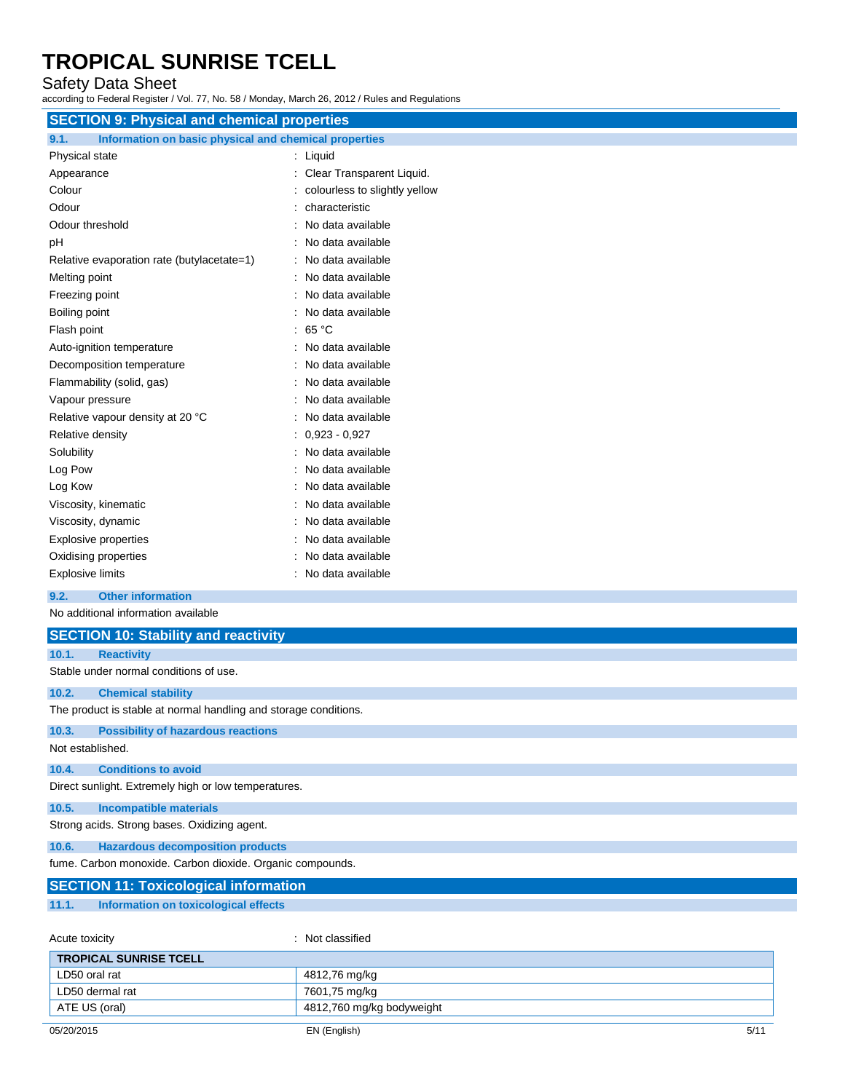### Safety Data Sheet

according to Federal Register / Vol. 77, No. 58 / Monday, March 26, 2012 / Rules and Regulations

| <b>SECTION 9: Physical and chemical properties</b>            |                               |
|---------------------------------------------------------------|-------------------------------|
| 9.1.<br>Information on basic physical and chemical properties |                               |
| Physical state                                                | : Liquid                      |
| Appearance                                                    | Clear Transparent Liquid.     |
| Colour                                                        | colourless to slightly yellow |
| Odour                                                         | characteristic                |
| Odour threshold                                               | No data available             |
| pH                                                            | : No data available           |
| Relative evaporation rate (butylacetate=1)                    | : No data available           |
| Melting point                                                 | No data available             |
| Freezing point                                                | : No data available           |
| Boiling point                                                 | No data available             |
| Flash point                                                   | 65 °C                         |
| Auto-ignition temperature                                     | : No data available           |
| Decomposition temperature                                     | No data available             |
| Flammability (solid, gas)                                     | No data available             |
| Vapour pressure                                               | No data available             |
| Relative vapour density at 20 °C                              | No data available             |
| Relative density                                              | $: 0,923 - 0,927$             |
| Solubility                                                    | : No data available           |
| Log Pow                                                       | No data available             |
| Log Kow                                                       | No data available             |
| Viscosity, kinematic                                          | No data available             |
| Viscosity, dynamic                                            | : No data available           |
| <b>Explosive properties</b>                                   | No data available             |
| Oxidising properties                                          | No data available             |
| <b>Explosive limits</b>                                       | : No data available           |
| 9.2.<br><b>Other information</b>                              |                               |
| No additional information available                           |                               |
| <b>SECTION 10: Stability and reactivity</b>                   |                               |
| 10.1.<br><b>Reactivity</b>                                    |                               |
| Stable under normal conditions of use.                        |                               |
| 10.2.<br><b>Chemical stability</b>                            |                               |

The product is stable at normal handling and storage conditions.

#### **10.3. Possibility of hazardous reactions**

Not established.

#### **10.4. Conditions to avoid**

Direct sunlight. Extremely high or low temperatures.

#### **10.5. Incompatible materials**

Strong acids. Strong bases. Oxidizing agent.

#### **10.6. Hazardous decomposition products**

fume. Carbon monoxide. Carbon dioxide. Organic compounds.

#### **SECTION 11: Toxicological information**

**11.1. Information on toxicological effects**

| Acute toxicity                | : Not classified          |  |
|-------------------------------|---------------------------|--|
| <b>TROPICAL SUNRISE TCELL</b> |                           |  |
| LD50 oral rat                 | 4812,76 mg/kg             |  |
| LD50 dermal rat               | 7601,75 mg/kg             |  |
| ATE US (oral)                 | 4812,760 mg/kg bodyweight |  |
|                               |                           |  |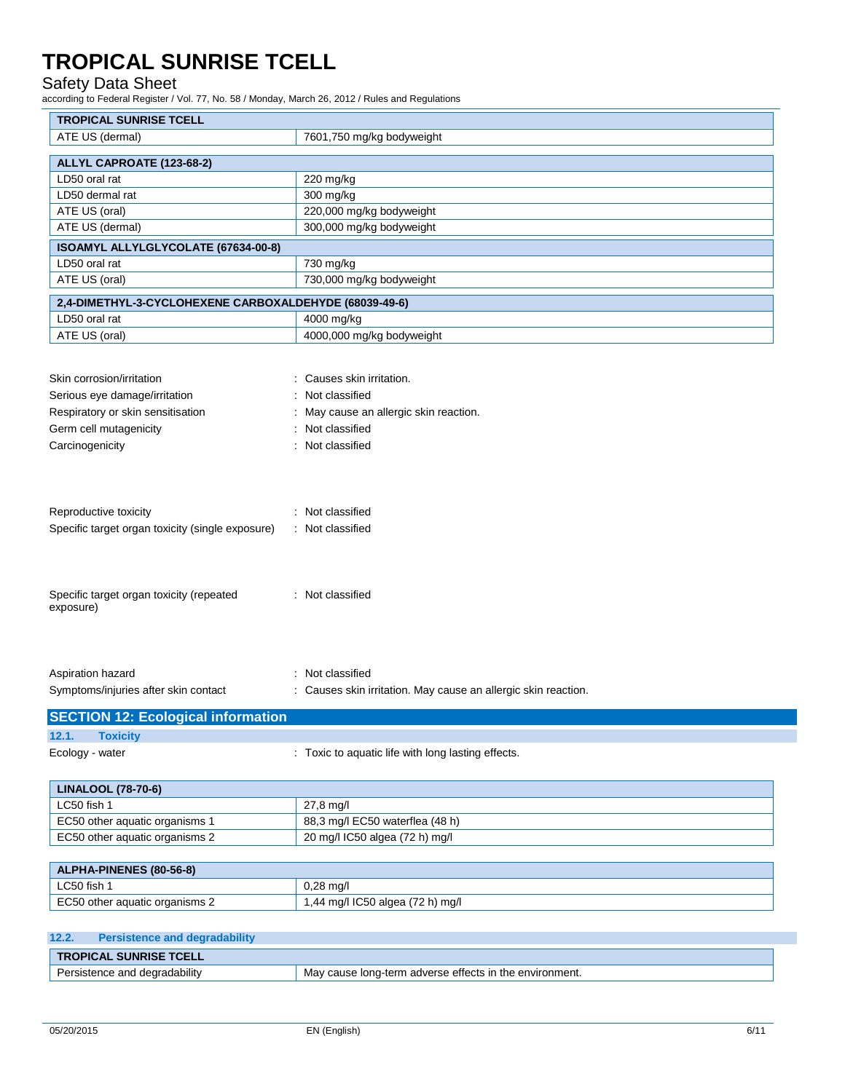### Safety Data Sheet

| <b>TROPICAL SUNRISE TCELL</b>                                                                             |                                                                                    |
|-----------------------------------------------------------------------------------------------------------|------------------------------------------------------------------------------------|
| ATE US (dermal)                                                                                           | 7601,750 mg/kg bodyweight                                                          |
|                                                                                                           |                                                                                    |
| ALLYL CAPROATE (123-68-2)                                                                                 |                                                                                    |
| LD50 oral rat                                                                                             | 220 mg/kg                                                                          |
| LD50 dermal rat                                                                                           | 300 mg/kg                                                                          |
| ATE US (oral)                                                                                             | 220,000 mg/kg bodyweight                                                           |
| ATE US (dermal)                                                                                           | 300,000 mg/kg bodyweight                                                           |
| ISOAMYL ALLYLGLYCOLATE (67634-00-8)                                                                       |                                                                                    |
| LD50 oral rat                                                                                             | 730 mg/kg                                                                          |
| ATE US (oral)                                                                                             | 730,000 mg/kg bodyweight                                                           |
| 2,4-DIMETHYL-3-CYCLOHEXENE CARBOXALDEHYDE (68039-49-6)                                                    |                                                                                    |
| LD50 oral rat                                                                                             | 4000 mg/kg                                                                         |
| ATE US (oral)                                                                                             | 4000,000 mg/kg bodyweight                                                          |
|                                                                                                           |                                                                                    |
| Skin corrosion/irritation                                                                                 | : Causes skin irritation.                                                          |
|                                                                                                           | Not classified                                                                     |
| Serious eye damage/irritation                                                                             |                                                                                    |
| Respiratory or skin sensitisation                                                                         | May cause an allergic skin reaction.                                               |
| Germ cell mutagenicity                                                                                    | Not classified                                                                     |
| Carcinogenicity                                                                                           | : Not classified                                                                   |
| Specific target organ toxicity (single exposure)<br>Specific target organ toxicity (repeated<br>exposure) | : Not classified<br>: Not classified                                               |
| Aspiration hazard<br>Symptoms/injuries after skin contact                                                 | : Not classified<br>: Causes skin irritation. May cause an allergic skin reaction. |
| <b>SECTION 12: Ecological information</b>                                                                 |                                                                                    |
| <b>Toxicity</b><br>12.1.                                                                                  |                                                                                    |
| Ecology - water                                                                                           | : Toxic to aquatic life with long lasting effects.                                 |
| <b>LINALOOL (78-70-6)</b>                                                                                 |                                                                                    |
| LC50 fish 1                                                                                               | 27,8 mg/l                                                                          |
| EC50 other aquatic organisms 1                                                                            | 88,3 mg/l EC50 waterflea (48 h)                                                    |
| EC50 other aquatic organisms 2                                                                            | 20 mg/l IC50 algea (72 h) mg/l                                                     |
|                                                                                                           |                                                                                    |
| ALPHA-PINENES (80-56-8)                                                                                   |                                                                                    |
| LC50 fish 1                                                                                               | $0,28$ mg/l                                                                        |
| EC50 other aquatic organisms 2                                                                            | 1,44 mg/l IC50 algea (72 h) mg/l                                                   |
|                                                                                                           |                                                                                    |
| 12.2.<br><b>Persistence and degradability</b>                                                             |                                                                                    |
| <b>TROPICAL SUNRISE TCELL</b>                                                                             |                                                                                    |
| Persistence and degradability                                                                             | May cause long-term adverse effects in the environment.                            |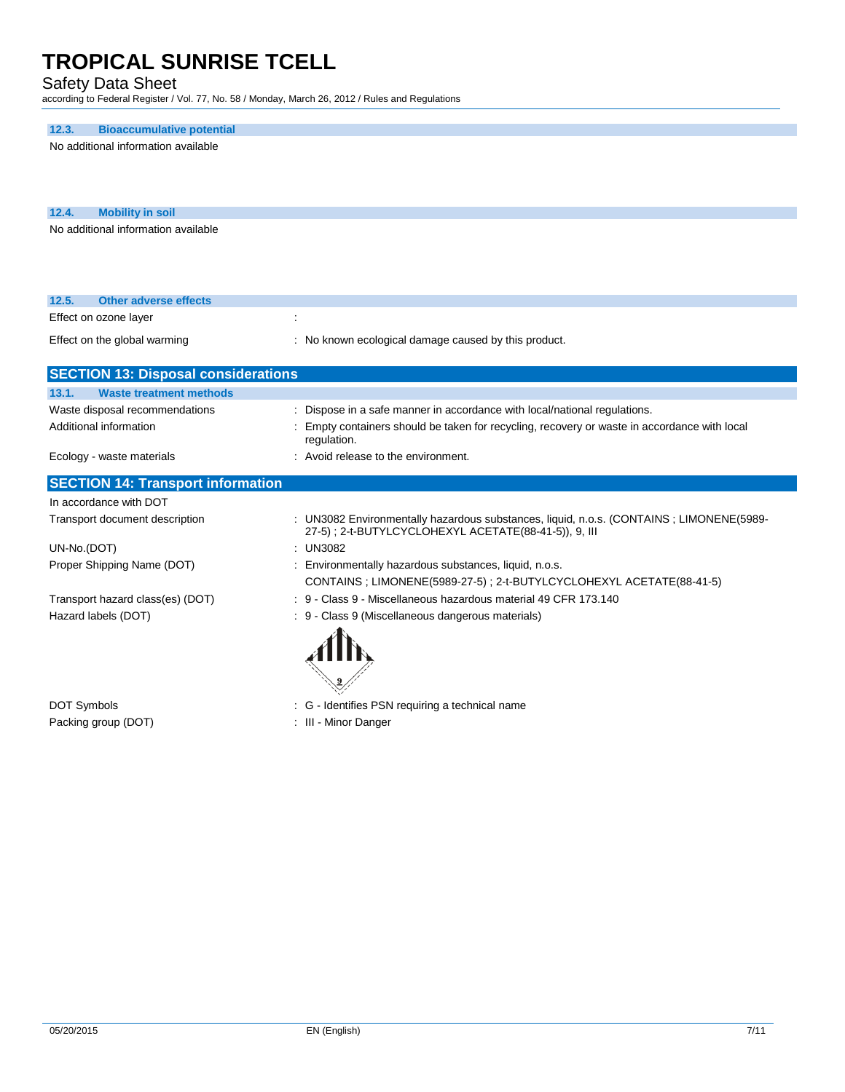### Safety Data Sheet

according to Federal Register / Vol. 77, No. 58 / Monday, March 26, 2012 / Rules and Regulations

### **12.3. Bioaccumulative potential**

No additional information available

| 12.4. | <b>Mobility in soil</b>             |
|-------|-------------------------------------|
|       | No additional information available |

| 12.5.<br>Other adverse effects                           |                                                                                                                                                                                        |  |  |
|----------------------------------------------------------|----------------------------------------------------------------------------------------------------------------------------------------------------------------------------------------|--|--|
| Effect on ozone layer                                    |                                                                                                                                                                                        |  |  |
| Effect on the global warming                             | : No known ecological damage caused by this product.                                                                                                                                   |  |  |
| <b>SECTION 13: Disposal considerations</b>               |                                                                                                                                                                                        |  |  |
| <b>Waste treatment methods</b><br>13.1.                  |                                                                                                                                                                                        |  |  |
| Waste disposal recommendations<br>Additional information | : Dispose in a safe manner in accordance with local/national regulations.<br>Empty containers should be taken for recycling, recovery or waste in accordance with local<br>regulation. |  |  |
| Ecology - waste materials                                | : Avoid release to the environment.                                                                                                                                                    |  |  |
| <b>SECTION 14: Transport information</b>                 |                                                                                                                                                                                        |  |  |
| In accordance with DOT                                   |                                                                                                                                                                                        |  |  |
| Transport document description                           | : UN3082 Environmentally hazardous substances, liquid, n.o.s. (CONTAINS; LIMONENE(5989-                                                                                                |  |  |
| UN-No.(DOT)                                              | $:$ UN3082                                                                                                                                                                             |  |  |
| Proper Shipping Name (DOT)                               | Environmentally hazardous substances, liquid, n.o.s.<br>CONTAINS; LIMONENE(5989-27-5); 2-t-BUTYLCYCLOHEXYL ACETATE(88-41-5)                                                            |  |  |
| Transport hazard class(es) (DOT)                         | : 9 - Class 9 - Miscellaneous hazardous material 49 CFR 173.140                                                                                                                        |  |  |
| Hazard labels (DOT)                                      | - Class 9 (Miscellaneous dangerous materials)<br>: 9                                                                                                                                   |  |  |

Packing group (DOT) **in the case of the COV**  $\cdot$  III - Minor Danger

DOT Symbols **DOT** Symbols **EXECUTE:** G - Identifies PSN requiring a technical name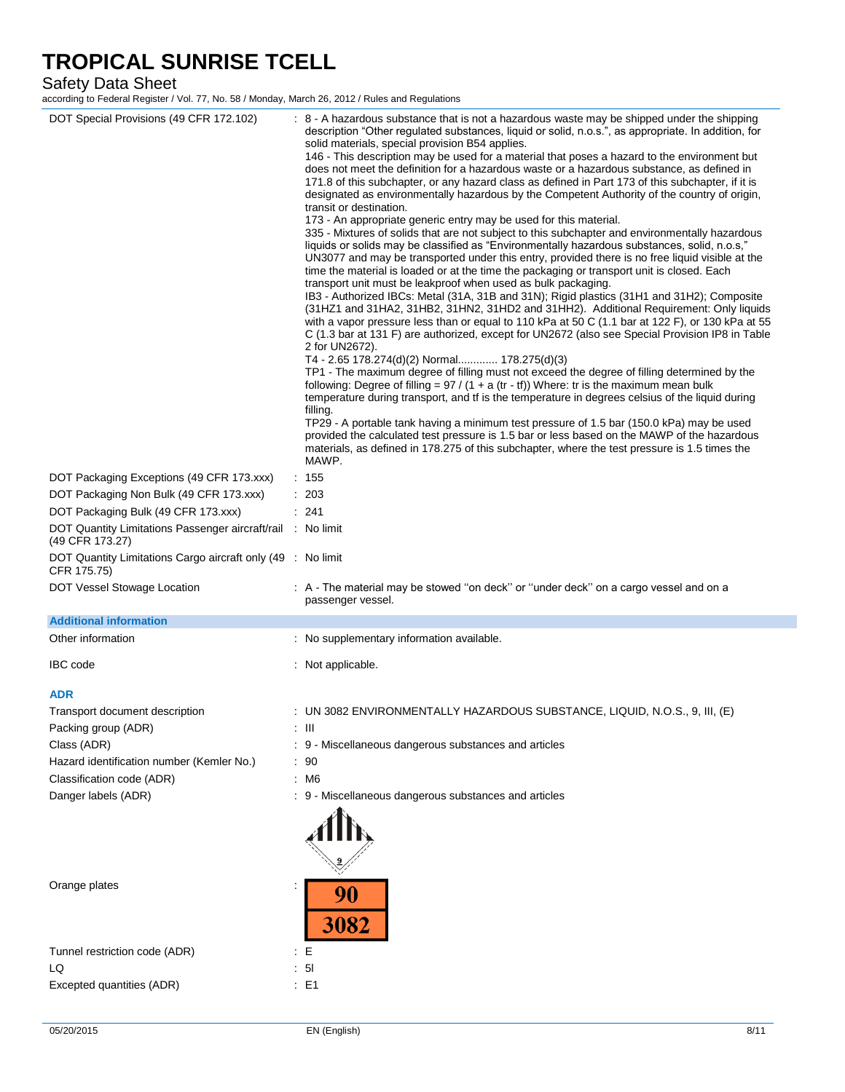Safety Data Sheet

| DOT Special Provisions (49 CFR 172.102)<br>DOT Packaging Exceptions (49 CFR 173.xxx)<br>DOT Packaging Non Bulk (49 CFR 173.xxx)<br>DOT Packaging Bulk (49 CFR 173.xxx)<br>DOT Quantity Limitations Passenger aircraft/rail : No limit<br>(49 CFR 173.27) | : 8 - A hazardous substance that is not a hazardous waste may be shipped under the shipping<br>description "Other regulated substances, liquid or solid, n.o.s.", as appropriate. In addition, for<br>solid materials, special provision B54 applies.<br>146 - This description may be used for a material that poses a hazard to the environment but<br>does not meet the definition for a hazardous waste or a hazardous substance, as defined in<br>171.8 of this subchapter, or any hazard class as defined in Part 173 of this subchapter, if it is<br>designated as environmentally hazardous by the Competent Authority of the country of origin,<br>transit or destination.<br>173 - An appropriate generic entry may be used for this material.<br>335 - Mixtures of solids that are not subject to this subchapter and environmentally hazardous<br>liquids or solids may be classified as "Environmentally hazardous substances, solid, n.o.s,"<br>UN3077 and may be transported under this entry, provided there is no free liquid visible at the<br>time the material is loaded or at the time the packaging or transport unit is closed. Each<br>transport unit must be leakproof when used as bulk packaging.<br>IB3 - Authorized IBCs: Metal (31A, 31B and 31N); Rigid plastics (31H1 and 31H2); Composite<br>(31HZ1 and 31HA2, 31HB2, 31HN2, 31HD2 and 31HH2). Additional Requirement: Only liquids<br>with a vapor pressure less than or equal to 110 kPa at 50 C (1.1 bar at 122 F), or 130 kPa at 55<br>C (1.3 bar at 131 F) are authorized, except for UN2672 (also see Special Provision IP8 in Table<br>2 for UN2672).<br>T4 - 2.65 178.274(d)(2) Normal 178.275(d)(3)<br>TP1 - The maximum degree of filling must not exceed the degree of filling determined by the<br>following: Degree of filling = $97 / (1 + a (tr - tf))$ Where: tr is the maximum mean bulk<br>temperature during transport, and if is the temperature in degrees celsius of the liquid during<br>filling.<br>TP29 - A portable tank having a minimum test pressure of 1.5 bar (150.0 kPa) may be used<br>provided the calculated test pressure is 1.5 bar or less based on the MAWP of the hazardous<br>materials, as defined in 178.275 of this subchapter, where the test pressure is 1.5 times the<br>MAWP.<br>: 155<br>: 203<br>: 241 |
|----------------------------------------------------------------------------------------------------------------------------------------------------------------------------------------------------------------------------------------------------------|-------------------------------------------------------------------------------------------------------------------------------------------------------------------------------------------------------------------------------------------------------------------------------------------------------------------------------------------------------------------------------------------------------------------------------------------------------------------------------------------------------------------------------------------------------------------------------------------------------------------------------------------------------------------------------------------------------------------------------------------------------------------------------------------------------------------------------------------------------------------------------------------------------------------------------------------------------------------------------------------------------------------------------------------------------------------------------------------------------------------------------------------------------------------------------------------------------------------------------------------------------------------------------------------------------------------------------------------------------------------------------------------------------------------------------------------------------------------------------------------------------------------------------------------------------------------------------------------------------------------------------------------------------------------------------------------------------------------------------------------------------------------------------------------------------------------------------------------------------------------------------------------------------------------------------------------------------------------------------------------------------------------------------------------------------------------------------------------------------------------------------------------------------------------------------------------------------------------------------------------------------------------------------------------------------------------------------------------|
| DOT Quantity Limitations Cargo aircraft only (49 : No limit<br>CFR 175.75)                                                                                                                                                                               |                                                                                                                                                                                                                                                                                                                                                                                                                                                                                                                                                                                                                                                                                                                                                                                                                                                                                                                                                                                                                                                                                                                                                                                                                                                                                                                                                                                                                                                                                                                                                                                                                                                                                                                                                                                                                                                                                                                                                                                                                                                                                                                                                                                                                                                                                                                                           |
| DOT Vessel Stowage Location                                                                                                                                                                                                                              | : A - The material may be stowed "on deck" or "under deck" on a cargo vessel and on a<br>passenger vessel.                                                                                                                                                                                                                                                                                                                                                                                                                                                                                                                                                                                                                                                                                                                                                                                                                                                                                                                                                                                                                                                                                                                                                                                                                                                                                                                                                                                                                                                                                                                                                                                                                                                                                                                                                                                                                                                                                                                                                                                                                                                                                                                                                                                                                                |
| <b>Additional information</b>                                                                                                                                                                                                                            |                                                                                                                                                                                                                                                                                                                                                                                                                                                                                                                                                                                                                                                                                                                                                                                                                                                                                                                                                                                                                                                                                                                                                                                                                                                                                                                                                                                                                                                                                                                                                                                                                                                                                                                                                                                                                                                                                                                                                                                                                                                                                                                                                                                                                                                                                                                                           |
| Other information                                                                                                                                                                                                                                        | : No supplementary information available.                                                                                                                                                                                                                                                                                                                                                                                                                                                                                                                                                                                                                                                                                                                                                                                                                                                                                                                                                                                                                                                                                                                                                                                                                                                                                                                                                                                                                                                                                                                                                                                                                                                                                                                                                                                                                                                                                                                                                                                                                                                                                                                                                                                                                                                                                                 |
| <b>IBC</b> code                                                                                                                                                                                                                                          | : Not applicable.                                                                                                                                                                                                                                                                                                                                                                                                                                                                                                                                                                                                                                                                                                                                                                                                                                                                                                                                                                                                                                                                                                                                                                                                                                                                                                                                                                                                                                                                                                                                                                                                                                                                                                                                                                                                                                                                                                                                                                                                                                                                                                                                                                                                                                                                                                                         |
| <b>ADR</b>                                                                                                                                                                                                                                               |                                                                                                                                                                                                                                                                                                                                                                                                                                                                                                                                                                                                                                                                                                                                                                                                                                                                                                                                                                                                                                                                                                                                                                                                                                                                                                                                                                                                                                                                                                                                                                                                                                                                                                                                                                                                                                                                                                                                                                                                                                                                                                                                                                                                                                                                                                                                           |
| Transport document description                                                                                                                                                                                                                           | : UN 3082 ENVIRONMENTALLY HAZARDOUS SUBSTANCE, LIQUID, N.O.S., 9, III, (E)                                                                                                                                                                                                                                                                                                                                                                                                                                                                                                                                                                                                                                                                                                                                                                                                                                                                                                                                                                                                                                                                                                                                                                                                                                                                                                                                                                                                                                                                                                                                                                                                                                                                                                                                                                                                                                                                                                                                                                                                                                                                                                                                                                                                                                                                |
| Packing group (ADR)                                                                                                                                                                                                                                      | : III                                                                                                                                                                                                                                                                                                                                                                                                                                                                                                                                                                                                                                                                                                                                                                                                                                                                                                                                                                                                                                                                                                                                                                                                                                                                                                                                                                                                                                                                                                                                                                                                                                                                                                                                                                                                                                                                                                                                                                                                                                                                                                                                                                                                                                                                                                                                     |
| Class (ADR)                                                                                                                                                                                                                                              | : 9 - Miscellaneous dangerous substances and articles                                                                                                                                                                                                                                                                                                                                                                                                                                                                                                                                                                                                                                                                                                                                                                                                                                                                                                                                                                                                                                                                                                                                                                                                                                                                                                                                                                                                                                                                                                                                                                                                                                                                                                                                                                                                                                                                                                                                                                                                                                                                                                                                                                                                                                                                                     |
| Hazard identification number (Kemler No.)                                                                                                                                                                                                                | : 90                                                                                                                                                                                                                                                                                                                                                                                                                                                                                                                                                                                                                                                                                                                                                                                                                                                                                                                                                                                                                                                                                                                                                                                                                                                                                                                                                                                                                                                                                                                                                                                                                                                                                                                                                                                                                                                                                                                                                                                                                                                                                                                                                                                                                                                                                                                                      |
| Classification code (ADR)                                                                                                                                                                                                                                | : M6                                                                                                                                                                                                                                                                                                                                                                                                                                                                                                                                                                                                                                                                                                                                                                                                                                                                                                                                                                                                                                                                                                                                                                                                                                                                                                                                                                                                                                                                                                                                                                                                                                                                                                                                                                                                                                                                                                                                                                                                                                                                                                                                                                                                                                                                                                                                      |
| Danger labels (ADR)                                                                                                                                                                                                                                      | 9 - Miscellaneous dangerous substances and articles                                                                                                                                                                                                                                                                                                                                                                                                                                                                                                                                                                                                                                                                                                                                                                                                                                                                                                                                                                                                                                                                                                                                                                                                                                                                                                                                                                                                                                                                                                                                                                                                                                                                                                                                                                                                                                                                                                                                                                                                                                                                                                                                                                                                                                                                                       |
| Orange plates                                                                                                                                                                                                                                            | 90<br>3082                                                                                                                                                                                                                                                                                                                                                                                                                                                                                                                                                                                                                                                                                                                                                                                                                                                                                                                                                                                                                                                                                                                                                                                                                                                                                                                                                                                                                                                                                                                                                                                                                                                                                                                                                                                                                                                                                                                                                                                                                                                                                                                                                                                                                                                                                                                                |
| Tunnel restriction code (ADR)                                                                                                                                                                                                                            | : E                                                                                                                                                                                                                                                                                                                                                                                                                                                                                                                                                                                                                                                                                                                                                                                                                                                                                                                                                                                                                                                                                                                                                                                                                                                                                                                                                                                                                                                                                                                                                                                                                                                                                                                                                                                                                                                                                                                                                                                                                                                                                                                                                                                                                                                                                                                                       |
| LQ                                                                                                                                                                                                                                                       | 51                                                                                                                                                                                                                                                                                                                                                                                                                                                                                                                                                                                                                                                                                                                                                                                                                                                                                                                                                                                                                                                                                                                                                                                                                                                                                                                                                                                                                                                                                                                                                                                                                                                                                                                                                                                                                                                                                                                                                                                                                                                                                                                                                                                                                                                                                                                                        |
| Excepted quantities (ADR)                                                                                                                                                                                                                                | $\therefore$ E1                                                                                                                                                                                                                                                                                                                                                                                                                                                                                                                                                                                                                                                                                                                                                                                                                                                                                                                                                                                                                                                                                                                                                                                                                                                                                                                                                                                                                                                                                                                                                                                                                                                                                                                                                                                                                                                                                                                                                                                                                                                                                                                                                                                                                                                                                                                           |
|                                                                                                                                                                                                                                                          |                                                                                                                                                                                                                                                                                                                                                                                                                                                                                                                                                                                                                                                                                                                                                                                                                                                                                                                                                                                                                                                                                                                                                                                                                                                                                                                                                                                                                                                                                                                                                                                                                                                                                                                                                                                                                                                                                                                                                                                                                                                                                                                                                                                                                                                                                                                                           |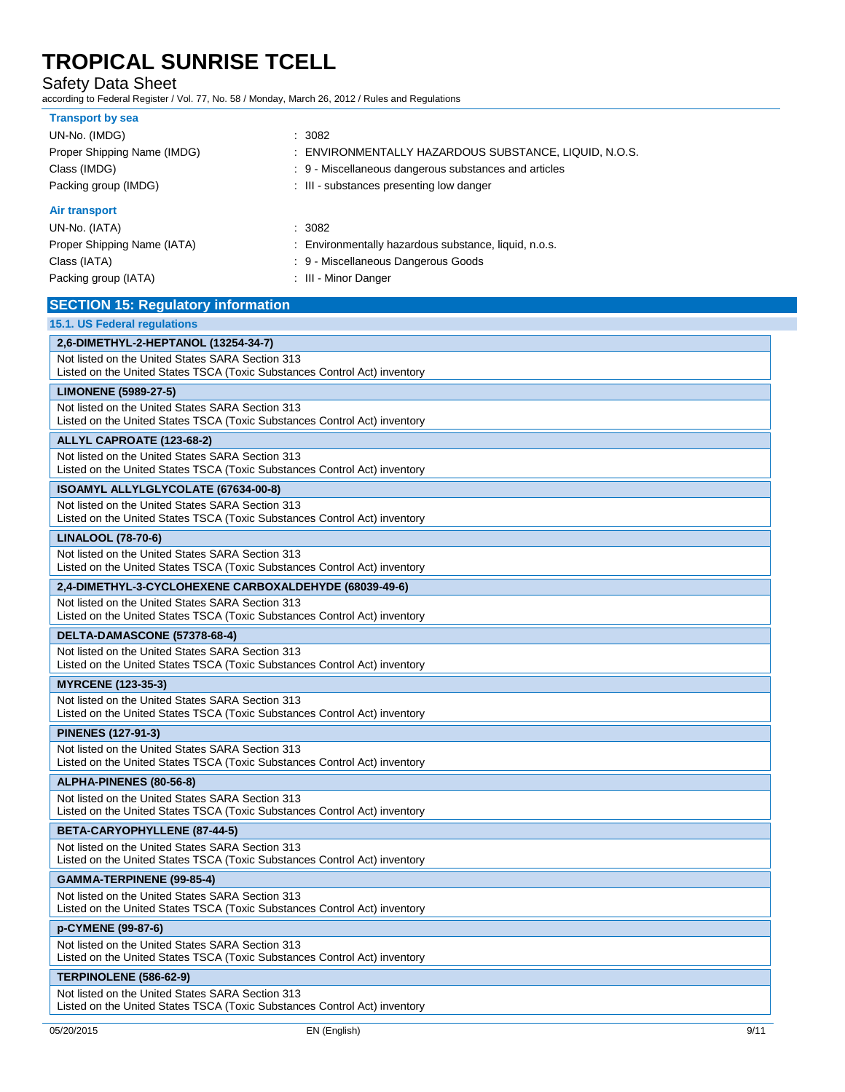Safety Data Sheet

| <b>Transport by sea</b><br>UN-No. (IMDG)<br>Proper Shipping Name (IMDG)                                                       | : 3082<br>: ENVIRONMENTALLY HAZARDOUS SUBSTANCE, LIQUID, N.O.S.                                                                |  |  |
|-------------------------------------------------------------------------------------------------------------------------------|--------------------------------------------------------------------------------------------------------------------------------|--|--|
| Class (IMDG)<br>Packing group (IMDG)                                                                                          | : 9 - Miscellaneous dangerous substances and articles<br>: III - substances presenting low danger                              |  |  |
| Air transport<br>UN-No. (IATA)<br>Proper Shipping Name (IATA)<br>Class (IATA)<br>Packing group (IATA)                         | : 3082<br>: Environmentally hazardous substance, liquid, n.o.s.<br>: 9 - Miscellaneous Dangerous Goods<br>: III - Minor Danger |  |  |
| <b>SECTION 15: Regulatory information</b>                                                                                     |                                                                                                                                |  |  |
| 15.1. US Federal regulations                                                                                                  |                                                                                                                                |  |  |
| 2,6-DIMETHYL-2-HEPTANOL (13254-34-7)                                                                                          |                                                                                                                                |  |  |
| Not listed on the United States SARA Section 313<br>Listed on the United States TSCA (Toxic Substances Control Act) inventory |                                                                                                                                |  |  |
| <b>LIMONENE (5989-27-5)</b>                                                                                                   |                                                                                                                                |  |  |
| Not listed on the United States SARA Section 313<br>Listed on the United States TSCA (Toxic Substances Control Act) inventory |                                                                                                                                |  |  |
| ALLYL CAPROATE (123-68-2)                                                                                                     |                                                                                                                                |  |  |
| Not listed on the United States SARA Section 313<br>Listed on the United States TSCA (Toxic Substances Control Act) inventory |                                                                                                                                |  |  |
| <b>ISOAMYL ALLYLGLYCOLATE (67634-00-8)</b>                                                                                    |                                                                                                                                |  |  |
| Not listed on the United States SARA Section 313<br>Listed on the United States TSCA (Toxic Substances Control Act) inventory |                                                                                                                                |  |  |
| LINALOOL (78-70-6)                                                                                                            |                                                                                                                                |  |  |
| Not listed on the United States SARA Section 313<br>Listed on the United States TSCA (Toxic Substances Control Act) inventory |                                                                                                                                |  |  |
| 2,4-DIMETHYL-3-CYCLOHEXENE CARBOXALDEHYDE (68039-49-6)                                                                        |                                                                                                                                |  |  |
| Not listed on the United States SARA Section 313<br>Listed on the United States TSCA (Toxic Substances Control Act) inventory |                                                                                                                                |  |  |
| DELTA-DAMASCONE (57378-68-4)                                                                                                  |                                                                                                                                |  |  |
| Not listed on the United States SARA Section 313<br>Listed on the United States TSCA (Toxic Substances Control Act) inventory |                                                                                                                                |  |  |
| <b>MYRCENE (123-35-3)</b>                                                                                                     |                                                                                                                                |  |  |
| Not listed on the United States SARA Section 313<br>Listed on the United States TSCA (Toxic Substances Control Act) inventory |                                                                                                                                |  |  |
| <b>PINENES (127-91-3)</b>                                                                                                     |                                                                                                                                |  |  |
| Not listed on the United States SARA Section 313<br>Listed on the United States TSCA (Toxic Substances Control Act) inventory |                                                                                                                                |  |  |
| ALPHA-PINENES (80-56-8)                                                                                                       |                                                                                                                                |  |  |
| Not listed on the United States SARA Section 313<br>Listed on the United States TSCA (Toxic Substances Control Act) inventory |                                                                                                                                |  |  |
| BETA-CARYOPHYLLENE (87-44-5)                                                                                                  |                                                                                                                                |  |  |
| Not listed on the United States SARA Section 313<br>Listed on the United States TSCA (Toxic Substances Control Act) inventory |                                                                                                                                |  |  |
| GAMMA-TERPINENE (99-85-4)                                                                                                     |                                                                                                                                |  |  |
| Not listed on the United States SARA Section 313<br>Listed on the United States TSCA (Toxic Substances Control Act) inventory |                                                                                                                                |  |  |
| p-CYMENE (99-87-6)                                                                                                            |                                                                                                                                |  |  |
| Not listed on the United States SARA Section 313<br>Listed on the United States TSCA (Toxic Substances Control Act) inventory |                                                                                                                                |  |  |
| TERPINOLENE (586-62-9)                                                                                                        |                                                                                                                                |  |  |
| Not listed on the United States SARA Section 313<br>Listed on the United States TSCA (Toxic Substances Control Act) inventory |                                                                                                                                |  |  |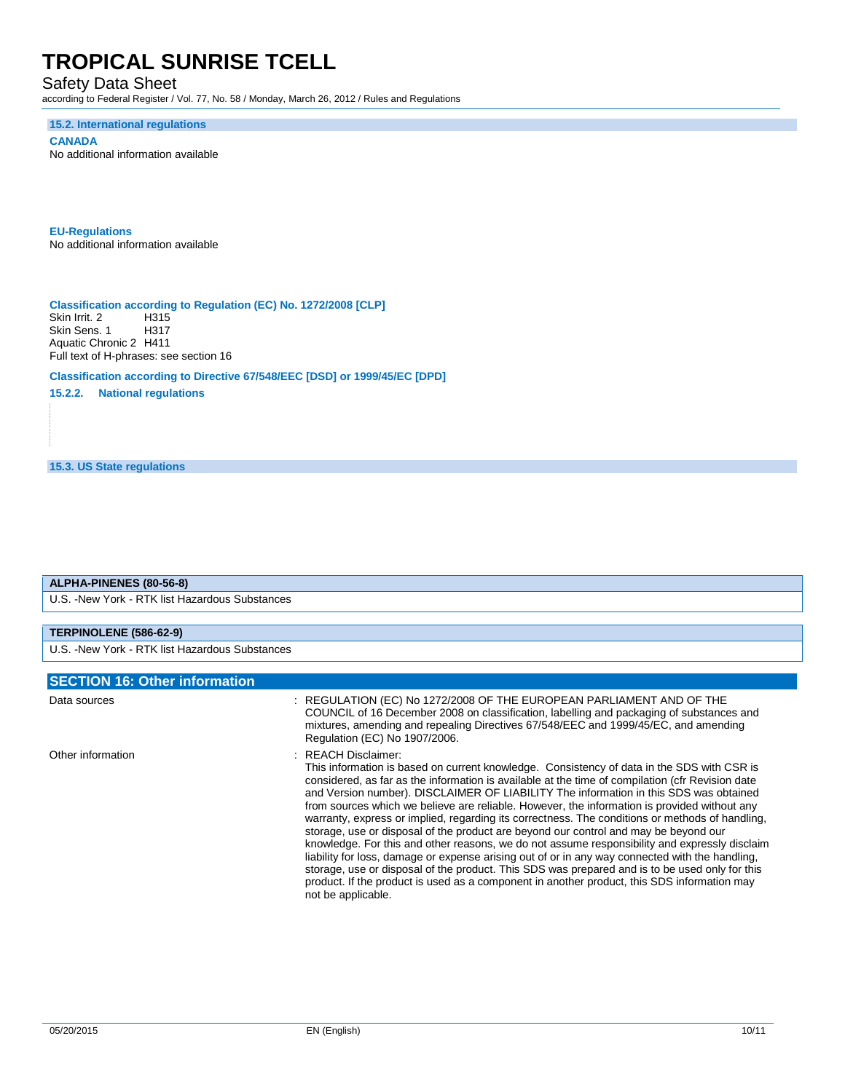Safety Data Sheet

according to Federal Register / Vol. 77, No. 58 / Monday, March 26, 2012 / Rules and Regulations

**15.2. International regulations**

**CANADA** No additional information available

**EU-Regulations** No additional information available

**Classification according to Regulation (EC) No. 1272/2008 [CLP]** Skin Irrit. 2 Skin Sens. 1 H317 Aquatic Chronic 2 H411 Full text of H-phrases: see section 16

**Classification according to Directive 67/548/EEC [DSD] or 1999/45/EC [DPD]**

**15.2.2. National regulations**

**15.3. US State regulations**

### **ALPHA-PINENES (80-56-8)** U.S. -New York - RTK list Hazardous Substances **TERPINOLENE (586-62-9)** U.S. -New York - RTK list Hazardous Substances **SECTION 16: Other information** Data sources : REGULATION (EC) No 1272/2008 OF THE EUROPEAN PARLIAMENT AND OF THE COUNCIL of 16 December 2008 on classification, labelling and packaging of substances and mixtures, amending and repealing Directives 67/548/EEC and 1999/45/EC, and amending Regulation (EC) No 1907/2006.

Other information  $R = 1$  . REACH Disclaimer: This information is based on current knowledge. Consistency of data in the SDS with CSR is considered, as far as the information is available at the time of compilation (cfr Revision date and Version number). DISCLAIMER OF LIABILITY The information in this SDS was obtained from sources which we believe are reliable. However, the information is provided without any warranty, express or implied, regarding its correctness. The conditions or methods of handling, storage, use or disposal of the product are beyond our control and may be beyond our knowledge. For this and other reasons, we do not assume responsibility and expressly disclaim liability for loss, damage or expense arising out of or in any way connected with the handling, storage, use or disposal of the product. This SDS was prepared and is to be used only for this product. If the product is used as a component in another product, this SDS information may not be applicable.